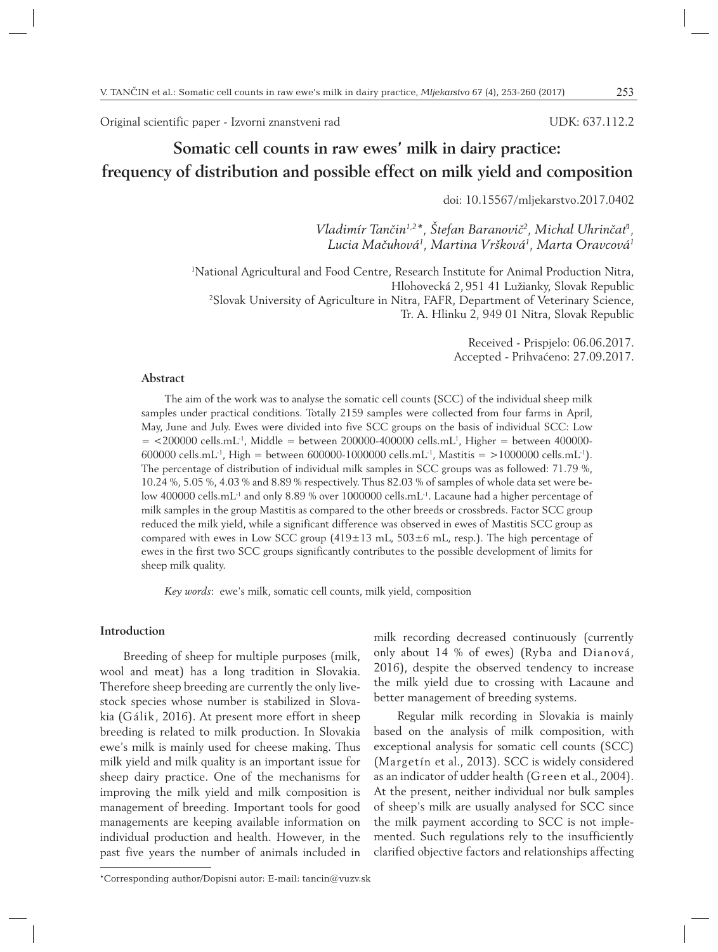Original scientific paper - Izvorni znanstveni rad

## UDK: 637.112.2

# **Somatic cell counts in raw ewes' milk in dairy practice: frequency of distribution and possible effect on milk yield and composition**

doi: 10.15567/mljekarstvo.2017.0402

*Vladimír Tančin1,2\*, Štefan Baranovič2 , Michal Uhrinčať1 , Lucia Mačuhová1 , Martina Vršková1 , Marta Oravcová1*

1 National Agricultural and Food Centre, Research Institute for Animal Production Nitra, Hlohovecká 2, 951 41 Lužianky, Slovak Republic 2 Slovak University of Agriculture in Nitra, FAFR, Department of Veterinary Science, Tr. A. Hlinku 2, 949 01 Nitra, Slovak Republic

> Received - Prispjelo: 06.06.2017. Accepted - Prihvaćeno: 27.09.2017.

## **Abstract**

The aim of the work was to analyse the somatic cell counts (SCC) of the individual sheep milk samples under practical conditions. Totally 2159 samples were collected from four farms in April, May, June and July. Ewes were divided into five SCC groups on the basis of individual SCC: Low  $=$  <200000 cells.mL<sup>1</sup>, Middle = between 200000-400000 cells.mL<sup>1</sup>, Higher = between 400000-600000 cells.mL<sup>-1</sup>, High = between 600000-1000000 cells.mL<sup>-1</sup>, Mastitis = >1000000 cells.mL<sup>-1</sup>). The percentage of distribution of individual milk samples in SCC groups was as followed: 71.79 %, 10.24 %, 5.05 %, 4.03 % and 8.89 % respectively. Thus 82.03 % of samples of whole data set were below 400000 cells.mL<sup>-1</sup> and only 8.89 % over 1000000 cells.mL<sup>-1</sup>. Lacaune had a higher percentage of milk samples in the group Mastitis as compared to the other breeds or crossbreds. Factor SCC group reduced the milk yield, while a significant difference was observed in ewes of Mastitis SCC group as compared with ewes in Low SCC group  $(419\pm13 \text{ mL}, 503\pm6 \text{ mL}, \text{resp.})$ . The high percentage of ewes in the first two SCC groups significantly contributes to the possible development of limits for sheep milk quality.

*Key words*: ewe's milk, somatic cell counts, milk yield, composition

# **Introduction**

Breeding of sheep for multiple purposes (milk, wool and meat) has a long tradition in Slovakia. Therefore sheep breeding are currently the only livestock species whose number is stabilized in Slovakia (Gálik, 2016). At present more effort in sheep breeding is related to milk production. In Slovakia ewe's milk is mainly used for cheese making. Thus milk yield and milk quality is an important issue for sheep dairy practice. One of the mechanisms for improving the milk yield and milk composition is management of breeding. Important tools for good managements are keeping available information on individual production and health. However, in the past five years the number of animals included in milk recording decreased continuously (currently only about 14 % of ewes) (Ryba and Dianová, 2016), despite the observed tendency to increase the milk yield due to crossing with Lacaune and better management of breeding systems.

Regular milk recording in Slovakia is mainly based on the analysis of milk composition, with exceptional analysis for somatic cell counts (SCC) (Margetín et al., 2013). SCC is widely considered as an indicator of udder health (Green et al., 2004). At the present, neither individual nor bulk samples of sheep's milk are usually analysed for SCC since the milk payment according to SCC is not implemented. Such regulations rely to the insufficiently clarified objective factors and relationships affecting

<sup>\*</sup>Corresponding author/Dopisni autor: E-mail: tancin@vuzv.sk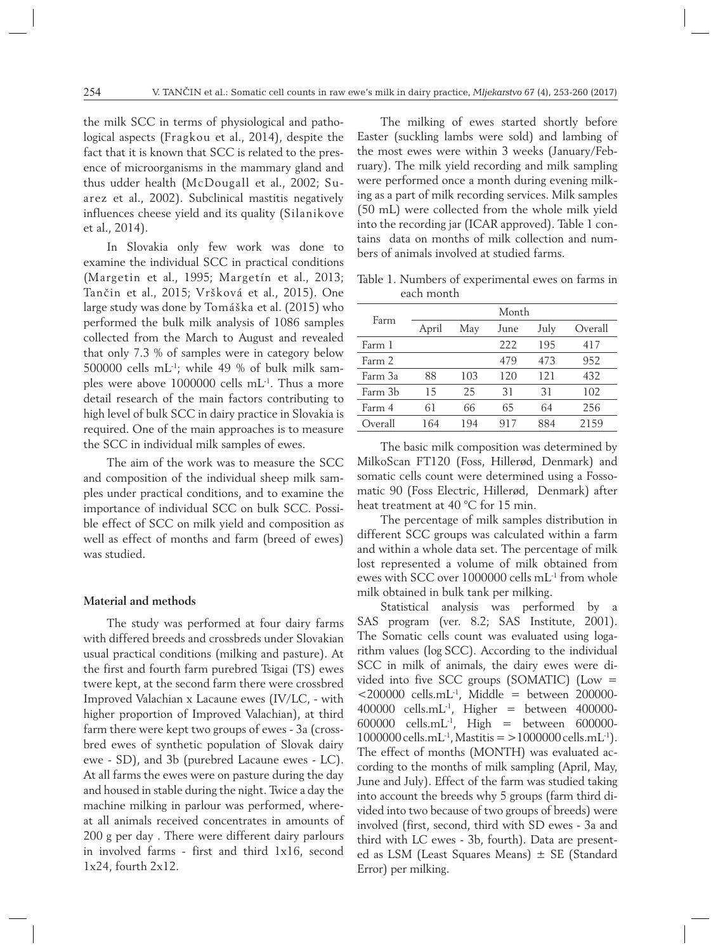the milk SCC in terms of physiological and pathological aspects (Fragkou et al., 2014), despite the fact that it is known that SCC is related to the presence of microorganisms in the mammary gland and thus udder health (McDougall et al., 2002; Suarez et al., 2002). Subclinical mastitis negatively influences cheese yield and its quality (Silanikove et al., 2014).

In Slovakia only few work was done to examine the individual SCC in practical conditions (Margetin et al., 1995; Margetín et al., 2013; Tančin et al., 2015; Vršková et al., 2015). One large study was done by Tomáška et al. (2015) who performed the bulk milk analysis of 1086 samples collected from the March to August and revealed that only 7.3 % of samples were in category below 500000 cells mL-1; while 49 % of bulk milk samples were above 1000000 cells mL-1. Thus a more detail research of the main factors contributing to high level of bulk SCC in dairy practice in Slovakia is required. One of the main approaches is to measure the SCC in individual milk samples of ewes.

The aim of the work was to measure the SCC and composition of the individual sheep milk samples under practical conditions, and to examine the importance of individual SCC on bulk SCC. Possible effect of SCC on milk yield and composition as well as effect of months and farm (breed of ewes) was studied.

## **Material and methods**

The study was performed at four dairy farms with differed breeds and crossbreds under Slovakian usual practical conditions (milking and pasture). At the first and fourth farm purebred Tsigai (TS) ewes twere kept, at the second farm there were crossbred Improved Valachian x Lacaune ewes (IV/LC, - with higher proportion of Improved Valachian), at third farm there were kept two groups of ewes - 3a (crossbred ewes of synthetic population of Slovak dairy ewe - SD), and 3b (purebred Lacaune ewes - LC). At all farms the ewes were on pasture during the day and housed in stable during the night. Twice a day the machine milking in parlour was performed, whereat all animals received concentrates in amounts of 200 g per day . There were different dairy parlours in involved farms - first and third 1x16, second 1x24, fourth 2x12.

The milking of ewes started shortly before Easter (suckling lambs were sold) and lambing of the most ewes were within 3 weeks (January/February). The milk yield recording and milk sampling were performed once a month during evening milking as a part of milk recording services. Milk samples (50 mL) were collected from the whole milk yield into the recording jar (ICAR approved). Table 1 contains data on months of milk collection and numbers of animals involved at studied farms.

Table 1. Numbers of experimental ewes on farms in each month

| Farm    | Month |     |      |      |         |  |  |  |  |
|---------|-------|-----|------|------|---------|--|--|--|--|
|         | April | May | June | July | Overall |  |  |  |  |
| Farm 1  |       |     | 222  | 195  | 417     |  |  |  |  |
| Farm 2  |       |     | 479  | 473  | 952     |  |  |  |  |
| Farm 3a | 88    | 103 | 120  | 121  | 432     |  |  |  |  |
| Farm 3b | 15    | 25  | 31   | 31   | 102     |  |  |  |  |
| Farm 4  | 61    | 66  | 65   | 64   | 256     |  |  |  |  |
| Overall | 164   | 194 | 917  | 884  | 2159    |  |  |  |  |

The basic milk composition was determined by MilkoScan FT120 (Foss, Hillerød, Denmark) and somatic cells count were determined using a Fossomatic 90 (Foss Electric, Hillerød, Denmark) after heat treatment at 40 °C for 15 min.

The percentage of milk samples distribution in different SCC groups was calculated within a farm and within a whole data set. The percentage of milk lost represented a volume of milk obtained from ewes with SCC over 1000000 cells mL-1 from whole milk obtained in bulk tank per milking.

Statistical analysis was performed by a SAS program (ver. 8.2; SAS Institute, 2001). The Somatic cells count was evaluated using logarithm values (log SCC). According to the individual SCC in milk of animals, the dairy ewes were divided into five SCC groups (SOMATIC) (Low =  $<$ 200000 cells.mL<sup>-1</sup>, Middle = between 200000-400000 cells.mL<sup>-1</sup>, Higher = between 400000-600000 cells.mL-1, High = between 600000-  $1000000$  cells.mL<sup>-1</sup>, Mastitis =  $>1000000$  cells.mL<sup>-1</sup>). The effect of months (MONTH) was evaluated according to the months of milk sampling (April, May, June and July). Effect of the farm was studied taking into account the breeds why 5 groups (farm third divided into two because of two groups of breeds) were involved (first, second, third with SD ewes - 3a and third with LC ewes - 3b, fourth). Data are presented as LSM (Least Squares Means) ± SE (Standard Error) per milking.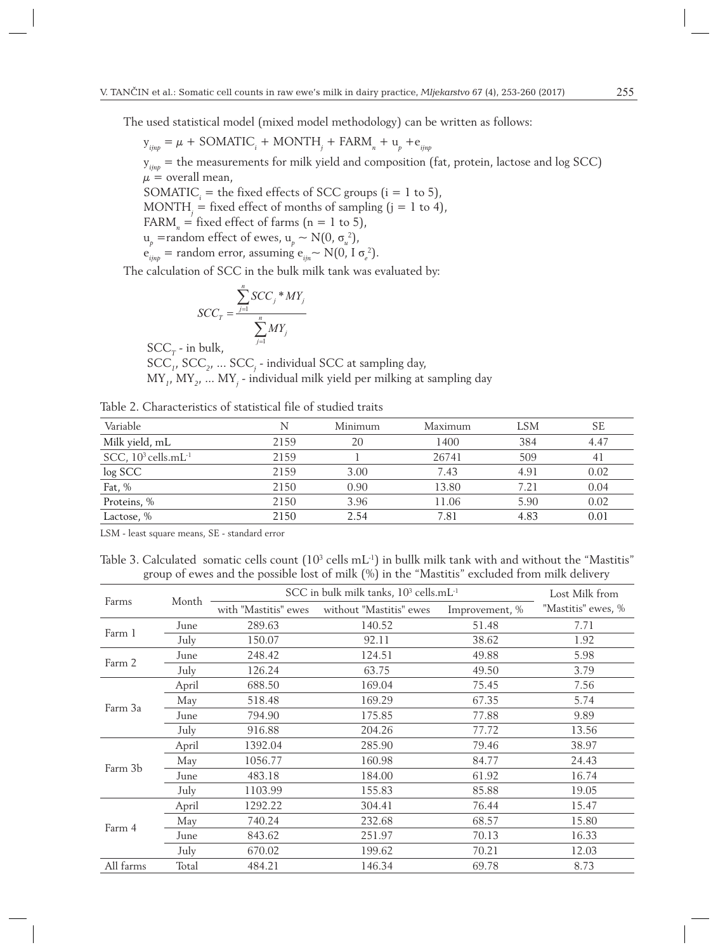The used statistical model (mixed model methodology) can be written as follows:

$$
y_{ijnp} = \mu + SOMATIC_i + MONTH_j + FARM_n + u_p + e_{ijnp}
$$

y*ijnp* = the measurements for milk yield and composition (fat, protein, lactose and log SCC)  $\mu =$  overall mean,

SOMATIC<sub>*i*</sub> = the fixed effects of SCC groups (i = 1 to 5),

 $\text{MONTH}_{j} = \text{fixed effect of months of sampling (j = 1 to 4)}$ 

 $FARM<sub>n</sub>$  = fixed effect of farms (n = 1 to 5),

$$
u_p
$$
 =random effect of ewes,  $u_p \sim N(0, \sigma_u^2)$ ,

$$
e_{ijnp}
$$
 = random error, assuming  $e_{ijn} \sim N(0, I \sigma_e^2)$ .

The calculation of SCC in the bulk milk tank was evaluated by:

$$
SCC_T = \frac{\sum_{j=1}^{n} SCC_j * MY_j}{\sum_{j=1}^{n} MY_j}
$$

 $SCC_r$  - in bulk,

SCC*<sup>1</sup>* , SCC*<sup>2</sup>* , ... SCC*<sup>j</sup>* - individual SCC at sampling day,

MY*<sup>1</sup>* , MY*<sup>2</sup>* , ... MY*<sup>j</sup>* - individual milk yield per milking at sampling day

| Table 2. Characteristics of statistical file of studied traits |  |
|----------------------------------------------------------------|--|
|----------------------------------------------------------------|--|

| Variable                                    |      | Minimum | Maximum | LSM  | SE   |
|---------------------------------------------|------|---------|---------|------|------|
| Milk yield, mL                              | 2159 | 20      | 1400    | 384  | 4.47 |
| SCC, 10 <sup>3</sup> cells.mL <sup>-1</sup> | 2159 |         | 26741   | 509  | 41   |
| log SCC                                     | 2159 | 3.00    | 7.43    | 4.91 | 0.02 |
| Fat, %                                      | 2150 | 0.90    | 13.80   | 7.21 | 0.04 |
| Proteins, %                                 | 2150 | 3.96    | 11.06   | 5.90 | 0.02 |
| Lactose, %                                  | 2150 | 2.54    | 7.81    | 4.83 | 0.01 |

LSM - least square means, SE - standard error

Table 3. Calculated somatic cells count  $(10^3 \text{ cells mL}^{-1})$  in bullk milk tank with and without the "Mastitis" group of ewes and the possible lost of milk (%) in the "Mastitis" excluded from milk delivery

|           |       | SCC in bulk milk tanks, 10 <sup>3</sup> cells.mL <sup>-1</sup> | Lost Milk from          |                |                    |
|-----------|-------|----------------------------------------------------------------|-------------------------|----------------|--------------------|
| Farms     | Month | with "Mastitis" ewes                                           | without "Mastitis" ewes | Improvement, % | "Mastitis" ewes, % |
| Farm 1    | June  | 289.63                                                         | 140.52                  | 51.48          | 7.71               |
|           | July  | 150.07                                                         | 92.11                   | 38.62          | 1.92               |
|           | June  | 248.42                                                         | 124.51                  | 49.88          | 5.98               |
| Farm 2    | July  | 126.24                                                         | 63.75                   | 49.50          | 3.79               |
| Farm 3a   | April | 688.50                                                         | 169.04                  | 75.45          | 7.56               |
|           | May   | 518.48                                                         | 169.29                  | 67.35          | 5.74               |
|           | June  | 794.90                                                         | 175.85                  | 77.88          | 9.89               |
|           | July  | 916.88                                                         | 204.26                  | 77.72          | 13.56              |
|           | April | 1392.04                                                        | 285.90                  | 79.46          | 38.97              |
| Farm 3b   | May   | 1056.77                                                        | 160.98                  | 84.77          | 24.43              |
|           | June  | 483.18                                                         | 184.00                  | 61.92          | 16.74              |
|           | July  | 1103.99                                                        | 155.83                  | 85.88          | 19.05              |
|           | April | 1292.22                                                        | 304.41                  | 76.44          | 15.47              |
| Farm 4    | May   | 740.24                                                         | 232.68                  | 68.57          | 15.80              |
|           | June  | 843.62                                                         | 251.97                  | 70.13          | 16.33              |
|           | July  | 670.02                                                         | 199.62                  | 70.21          | 12.03              |
| All farms | Total | 484.21                                                         | 146.34                  | 69.78          | 8.73               |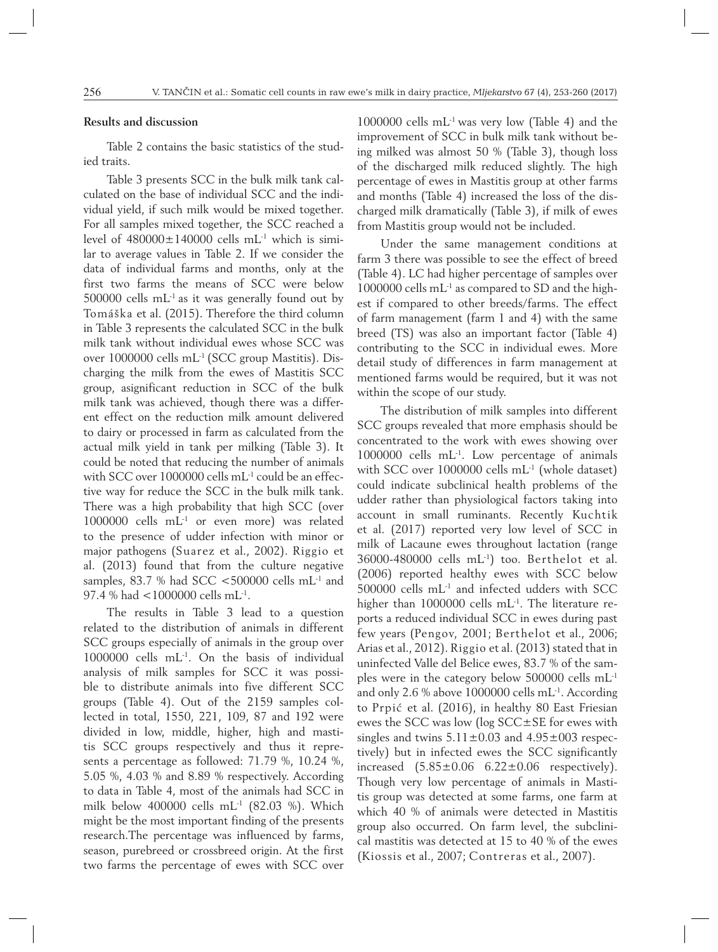## **Results and discussion**

Table 2 contains the basic statistics of the studied traits.

Table 3 presents SCC in the bulk milk tank calculated on the base of individual SCC and the individual yield, if such milk would be mixed together. For all samples mixed together, the SCC reached a level of  $480000 \pm 140000$  cells mL<sup>-1</sup> which is similar to average values in Table 2. If we consider the data of individual farms and months, only at the first two farms the means of SCC were below 500000 cells  $mL<sup>-1</sup>$  as it was generally found out by Tomáška et al. (2015). Therefore the third column in Table 3 represents the calculated SCC in the bulk milk tank without individual ewes whose SCC was over 1000000 cells mL-1 (SCC group Mastitis). Discharging the milk from the ewes of Mastitis SCC group, asignificant reduction in SCC of the bulk milk tank was achieved, though there was a different effect on the reduction milk amount delivered to dairy or processed in farm as calculated from the actual milk yield in tank per milking (Table 3). It could be noted that reducing the number of animals with SCC over 1000000 cells mL-1 could be an effective way for reduce the SCC in the bulk milk tank. There was a high probability that high SCC (over 1000000 cells mL-1 or even more) was related to the presence of udder infection with minor or major pathogens (Suarez et al., 2002). Riggio et al. (2013) found that from the culture negative samples, 83.7 % had SCC <500000 cells  $mL^{-1}$  and 97.4 % had <1000000 cells mL-1.

The results in Table 3 lead to a question related to the distribution of animals in different SCC groups especially of animals in the group over 1000000 cells mL-1. On the basis of individual analysis of milk samples for SCC it was possible to distribute animals into five different SCC groups (Table 4). Out of the 2159 samples collected in total, 1550, 221, 109, 87 and 192 were divided in low, middle, higher, high and mastitis SCC groups respectively and thus it represents a percentage as followed: 71.79 %, 10.24 %, 5.05 %, 4.03 % and 8.89 % respectively. According to data in Table 4, most of the animals had SCC in milk below 400000 cells mL-1 (82.03 %). Which might be the most important finding of the presents research.The percentage was influenced by farms, season, purebreed or crossbreed origin. At the first two farms the percentage of ewes with SCC over

 $1000000$  cells  $mL<sup>-1</sup>$  was very low (Table 4) and the improvement of SCC in bulk milk tank without being milked was almost 50 % (Table 3), though loss of the discharged milk reduced slightly. The high percentage of ewes in Mastitis group at other farms and months (Table 4) increased the loss of the discharged milk dramatically (Table 3), if milk of ewes from Mastitis group would not be included.

Under the same management conditions at farm 3 there was possible to see the effect of breed (Table 4). LC had higher percentage of samples over 1000000 cells mL-1 as compared to SD and the highest if compared to other breeds/farms. The effect of farm management (farm 1 and 4) with the same breed (TS) was also an important factor (Table 4) contributing to the SCC in individual ewes. More detail study of differences in farm management at mentioned farms would be required, but it was not within the scope of our study.

The distribution of milk samples into different SCC groups revealed that more emphasis should be concentrated to the work with ewes showing over 1000000 cells mL-1. Low percentage of animals with SCC over 1000000 cells mL-1 (whole dataset) could indicate subclinical health problems of the udder rather than physiological factors taking into account in small ruminants. Recently Kuchtik et al. (2017) reported very low level of SCC in milk of Lacaune ewes throughout lactation (range 36000-480000 cells mL-1) too. Berthelot et al. (2006) reported healthy ewes with SCC below 500000 cells mL-1 and infected udders with SCC higher than 1000000 cells mL<sup>-1</sup>. The literature reports a reduced individual SCC in ewes during past few years (Pengov, 2001; Berthelot et al., 2006; Arias et al., 2012). Riggio et al. (2013) stated that in uninfected Valle del Belice ewes, 83.7 % of the samples were in the category below 500000 cells mL-1 and only 2.6 % above 1000000 cells mL-1. According to Prpić et al. (2016), in healthy 80 East Friesian ewes the SCC was low (log SCC±SE for ewes with singles and twins  $5.11 \pm 0.03$  and  $4.95 \pm 003$  respectively) but in infected ewes the SCC significantly increased  $(5.85\pm0.06 \t 6.22\pm0.06$  respectively). Though very low percentage of animals in Mastitis group was detected at some farms, one farm at which 40 % of animals were detected in Mastitis group also occurred. On farm level, the subclinical mastitis was detected at 15 to 40 % of the ewes (Kiossis et al., 2007; Contreras et al., 2007).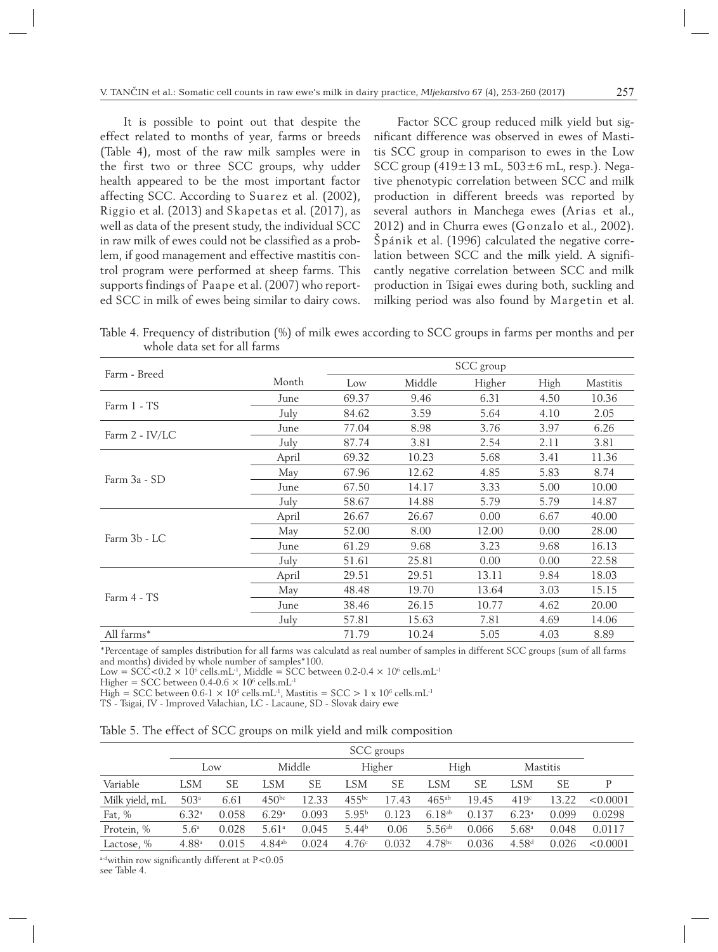It is possible to point out that despite the effect related to months of year, farms or breeds (Table 4), most of the raw milk samples were in the first two or three SCC groups, why udder health appeared to be the most important factor affecting SCC. According to Suarez et al. (2002), Riggio et al. (2013) and Skapetas et al. (2017), as well as data of the present study, the individual SCC in raw milk of ewes could not be classified as a problem, if good management and effective mastitis control program were performed at sheep farms. This supports findings of Paape et al. (2007) who reported SCC in milk of ewes being similar to dairy cows.

Factor SCC group reduced milk yield but significant difference was observed in ewes of Mastitis SCC group in comparison to ewes in the Low SCC group (419±13 mL, 503±6 mL, resp.). Negative phenotypic correlation between SCC and milk production in different breeds was reported by several authors in Manchega ewes (Arias et al., 2012) and in Churra ewes (Gonzalo et al., 2002). Špánik et al. (1996) calculated the negative correlation between SCC and the milk yield. A significantly negative correlation between SCC and milk production in Tsigai ewes during both, suckling and milking period was also found by Margetin et al.

Table 4. Frequency of distribution (%) of milk ewes according to SCC groups in farms per months and per whole data set for all farms

|                |       |       |        | SCC group |      |                 |
|----------------|-------|-------|--------|-----------|------|-----------------|
| Farm - Breed   | Month | Low   | Middle | Higher    | High | <b>Mastitis</b> |
| Farm 1 - TS    | June  | 69.37 | 9.46   | 6.31      | 4.50 | 10.36           |
|                | July  | 84.62 | 3.59   | 5.64      | 4.10 | 2.05            |
| Farm 2 - IV/LC | June  | 77.04 | 8.98   | 3.76      | 3.97 | 6.26            |
|                | July  | 87.74 | 3.81   | 2.54      | 2.11 | 3.81            |
|                | April | 69.32 | 10.23  | 5.68      | 3.41 | 11.36           |
| Farm 3a - SD   | May   | 67.96 | 12.62  | 4.85      | 5.83 | 8.74            |
|                | June  | 67.50 | 14.17  | 3.33      | 5.00 | 10.00           |
|                | July  | 58.67 | 14.88  | 5.79      | 5.79 | 14.87           |
|                | April | 26.67 | 26.67  | 0.00      | 6.67 | 40.00           |
| Farm 3b - LC   | May   | 52.00 | 8.00   | 12.00     | 0.00 | 28.00           |
|                | June  | 61.29 | 9.68   | 3.23      | 9.68 | 16.13           |
|                | July  | 51.61 | 25.81  | 0.00      | 0.00 | 22.58           |
|                | April | 29.51 | 29.51  | 13.11     | 9.84 | 18.03           |
| Farm 4 - TS    | May   | 48.48 | 19.70  | 13.64     | 3.03 | 15.15           |
|                | June  | 38.46 | 26.15  | 10.77     | 4.62 | 20.00           |
|                | July  | 57.81 | 15.63  | 7.81      | 4.69 | 14.06           |
| All farms*     |       | 71.79 | 10.24  | 5.05      | 4.03 | 8.89            |

\*Percentage of samples distribution for all farms was calculatd as real number of samples in different SCC groups (sum of all farms and months) divided by whole number of samples\*100.

Low = SCC<0.2  $\times$  10<sup>6</sup> cells.mL<sup>-1</sup>, Middle = SCC between 0.2-0.4  $\times$  10<sup>6</sup> cells.mL<sup>-1</sup>

Higher = SCC between  $0.4$ - $0.6 \times 10^6$  cells.mL<sup>-1</sup>

High = SCC between 0.6-1  $\times$  10 $^{\rm 6}$  cells.mL<sup>-1</sup>, Mastitis = SCC > 1 x 10 $^{\rm 6}$  cells.mL<sup>-1</sup>

TS - Tsigai, IV - Improved Valachian, LC - Lacaune, SD - Slovak dairy ewe

| Table 5. The effect of SCC groups on milk yield and milk composition |  |  |  |  |  |  |  |
|----------------------------------------------------------------------|--|--|--|--|--|--|--|
|                                                                      |  |  |  |  |  |  |  |

|                |                   |       |                   |        |                   | SCC groups |             |       |                   |                 |          |
|----------------|-------------------|-------|-------------------|--------|-------------------|------------|-------------|-------|-------------------|-----------------|----------|
|                |                   | Low   |                   | Middle |                   | Higher     |             | High  |                   | <b>Mastitis</b> |          |
| Variable       | lsm               | SЕ    | LSM               | SE     | LSM               | SЕ         | LSM         | SЕ    | LSM               | SЕ              | P        |
| Milk yield, mL | 503 <sup>a</sup>  | 6.61  | 450 <sup>bc</sup> | 12.33  | $455^{bc}$        | 17.43      | $465^{ab}$  | 19.45 | 419c              | 13.22           | < 0.0001 |
| Fat, $%$       | 6.32 <sup>a</sup> | 0.058 | 6.29a             | 0.093  | 5.95 <sup>b</sup> | 0.123      | $6.18^{ab}$ | 0.137 | 6.23 <sup>a</sup> | 0.099           | 0.0298   |
| Protein, %     | 5.6 <sup>a</sup>  | 0.028 | 5.61 <sup>a</sup> | 0.045  | 5.44 <sup>b</sup> | 0.06       | $5.56^{ab}$ | 0.066 | 5.68 <sup>a</sup> | 0.048           | 0.0117   |
| Lactose, %     | 4.88 <sup>a</sup> | 0.015 | $4.84^{ab}$       | 0.024  | 4.76c             | 0.032      | $4.78^{bc}$ | 0.036 | 4.58 <sup>d</sup> | 0.026           | < 0.0001 |

a-dwithin row significantly different at P<0.05 see Table 4.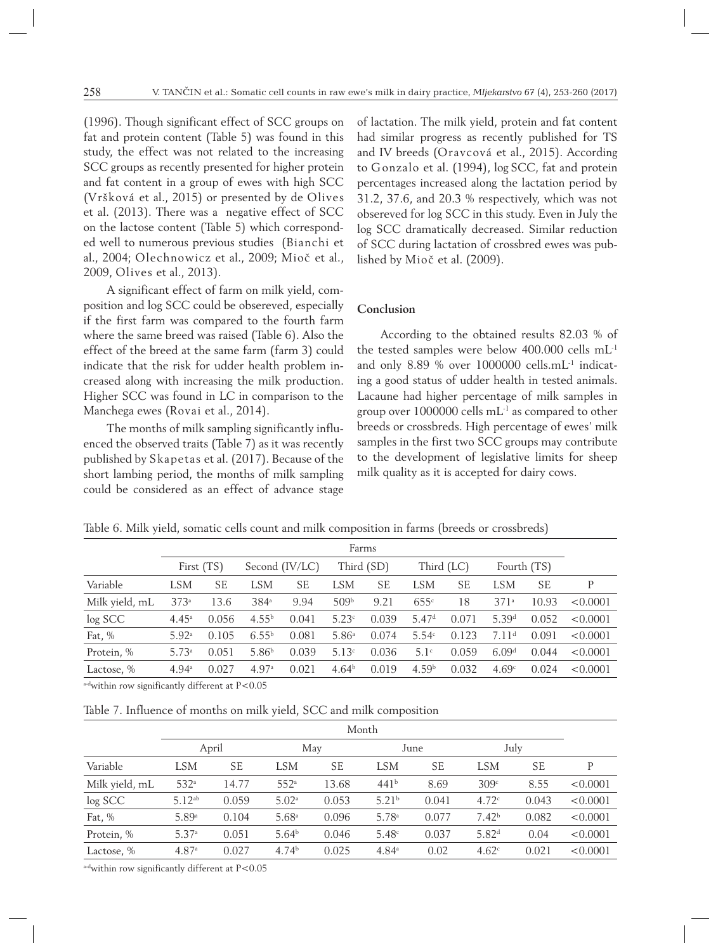(1996). Though significant effect of SCC groups on fat and protein content (Table 5) was found in this study, the effect was not related to the increasing SCC groups as recently presented for higher protein and fat content in a group of ewes with high SCC (Vršková et al., 2015) or presented by de Olives et al. (2013). There was a negative effect of SCC on the lactose content (Table 5) which corresponded well to numerous previous studies (Bianchi et al., 2004; Olechnowicz et al., 2009; Mioč et al., 2009, Olives et al., 2013).

A significant effect of farm on milk yield, composition and log SCC could be obsereved, especially if the first farm was compared to the fourth farm where the same breed was raised (Table 6). Also the effect of the breed at the same farm (farm 3) could indicate that the risk for udder health problem increased along with increasing the milk production. Higher SCC was found in LC in comparison to the Manchega ewes (Rovai et al., 2014).

The months of milk sampling significantly influenced the observed traits (Table 7) as it was recently published by Skapetas et al. (2017). Because of the short lambing period, the months of milk sampling could be considered as an effect of advance stage of lactation. The milk yield, protein and fat content had similar progress as recently published for TS and IV breeds (Oravcová et al., 2015). According to Gonzalo et al. (1994), log SCC, fat and protein percentages increased along the lactation period by 31.2, 37.6, and 20.3 % respectively, which was not obsereved for log SCC in this study. Even in July the log SCC dramatically decreased. Similar reduction of SCC during lactation of crossbred ewes was published by Mioč et al. (2009).

## **Conclusion**

According to the obtained results 82.03 % of the tested samples were below 400.000 cells mL-1 and only 8.89 % over 1000000 cells.mL-1 indicating a good status of udder health in tested animals. Lacaune had higher percentage of milk samples in group over 1000000 cells mL-1 as compared to other breeds or crossbreds. High percentage of ewes' milk samples in the first two SCC groups may contribute to the development of legislative limits for sheep milk quality as it is accepted for dairy cows.

|  |  |  |  | Table 6. Milk vield, somatic cells count and milk composition in farms (breeds or crossbreds) |  |
|--|--|--|--|-----------------------------------------------------------------------------------------------|--|
|--|--|--|--|-----------------------------------------------------------------------------------------------|--|

|                |                   |            |                   |                |                   | Farms      |                   |           |                   |             |          |
|----------------|-------------------|------------|-------------------|----------------|-------------------|------------|-------------------|-----------|-------------------|-------------|----------|
|                |                   | First (TS) |                   | Second (IV/LC) |                   | Third (SD) | Third (LC)        |           |                   | Fourth (TS) |          |
| Variable       | <b>LSM</b>        | <b>SE</b>  | LSM               | SЕ             | <b>LSM</b>        | SЕ         | <b>LSM</b>        | <b>SE</b> | LSM               | <b>SE</b>   | P        |
| Milk yield, mL | 373a              | 13.6       | $384^{\circ}$     | 9.94           | 509 <sup>b</sup>  | 9.21       | 655c              | 18        | 371 <sup>a</sup>  | 10.93       | < 0.0001 |
| log SCC        | $4.45^{\circ}$    | 0.056      | 4.55 <sup>b</sup> | 0.041          | 5.23c             | 0.039      | 5.47 <sup>d</sup> | 0.071     | 5.39 <sup>d</sup> | 0.052       | < 0.0001 |
| Fat, $%$       | 5.92 <sup>a</sup> | 0.105      | $6.55^{b}$        | 0.081          | 5.86 <sup>a</sup> | 0.074      | 5.54c             | 0.123     | 7.11 <sup>d</sup> | 0.091       | < 0.0001 |
| Protein, %     | 5.73a             | 0.051      | 5.86 <sup>b</sup> | 0.039          | 5.13c             | 0.036      | 5.1 <sup>c</sup>  | 0.059     | 6.09 <sup>d</sup> | 0.044       | < 0.0001 |
| Lactose, %     | $4.94^{\circ}$    | 0.027      | 4.97a             | 0.021          | 4.64 <sup>b</sup> | 0.019      | 4.59 <sup>b</sup> | 0.032     | 4.69c             | 0.024       | < 0.0001 |

a-dwithin row significantly different at P<0.05

Table 7. Influence of months on milk yield, SCC and milk composition

|                | Month             |       |                   |           |                   |           |                   |           |          |  |  |
|----------------|-------------------|-------|-------------------|-----------|-------------------|-----------|-------------------|-----------|----------|--|--|
|                |                   | April |                   | May       |                   | June      |                   | July      |          |  |  |
| Variable       | <b>LSM</b>        | SЕ    | <b>LSM</b>        | <b>SE</b> | <b>LSM</b>        | <b>SE</b> | <b>LSM</b>        | <b>SE</b> | P        |  |  |
| Milk yield, mL | 532 <sup>a</sup>  | 14.77 | 552 <sup>a</sup>  | 13.68     | 441 <sup>b</sup>  | 8.69      | 309c              | 8.55      | < 0.0001 |  |  |
| log SCC        | $5.12^{ab}$       | 0.059 | 5.02a             | 0.053     | 5.21 <sup>b</sup> | 0.041     | 4.72c             | 0.043     | < 0.0001 |  |  |
| Fat, $%$       | 5.89 <sup>a</sup> | 0.104 | 5.68 <sup>a</sup> | 0.096     | 5.78 <sup>a</sup> | 0.077     | 7.42 <sup>b</sup> | 0.082     | < 0.0001 |  |  |
| Protein, %     | 5.37a             | 0.051 | 5.64 <sup>b</sup> | 0.046     | 5.48c             | 0.037     | 5.82 <sup>d</sup> | 0.04      | < 0.0001 |  |  |
| Lactose, %     | 4.87a             | 0.027 | 4.74 <sup>b</sup> | 0.025     | $4.84^{\circ}$    | 0.02      | 4.62 <sup>c</sup> | 0.021     | < 0.0001 |  |  |

a-dwithin row significantly different at P<0.05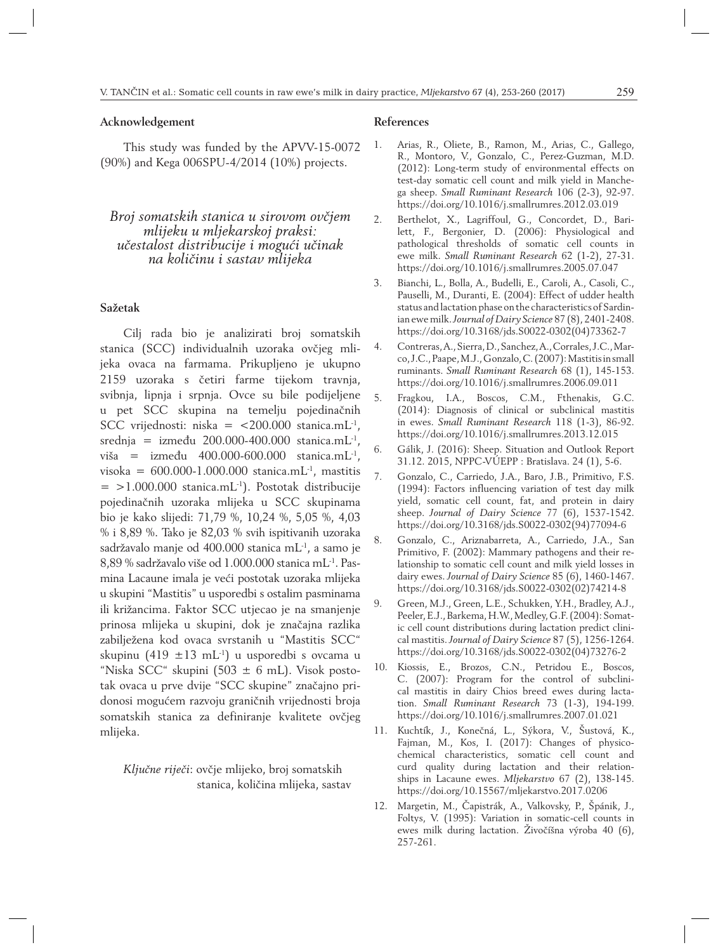## **Acknowledgement**

This study was funded by the APVV-15-0072 (90%) and Kega 006SPU-4/2014 (10%) projects.

# *Broj somatskih stanica u sirovom ovčjem mlijeku u mljekarskoj praksi: učestalost distribucije i mogući učinak na količinu i sastav mlijeka*

## **Sažetak**

Cilj rada bio je analizirati broj somatskih stanica (SCC) individualnih uzoraka ovčjeg mlijeka ovaca na farmama. Prikupljeno je ukupno 2159 uzoraka s četiri farme tijekom travnja, svibnja, lipnja i srpnja. Ovce su bile podijeljene u pet SCC skupina na temelju pojedinačnih SCC vrijednosti: niska =  $\langle 200.000 \text{ stanica.mL}^{-1} \rangle$ , srednja = između 200.000-400.000 stanica.mL $^{-1}$ , viša = između 400.000-600.000 stanica.mL<sup>-1</sup>, visoka =  $600.000 - 1.000.000$  stanica.mL<sup>-1</sup>, mastitis  $=$  >1.000.000 stanica.mL<sup>-1</sup>). Postotak distribucije pojedinačnih uzoraka mlijeka u SCC skupinama bio je kako slijedi: 71,79 %, 10,24 %, 5,05 %, 4,03 % i 8,89 %. Tako je 82,03 % svih ispitivanih uzoraka sadržavalo manje od 400.000 stanica mL-1, a samo je 8,89 % sadržavalo više od 1.000.000 stanica mL-1. Pasmina Lacaune imala je veći postotak uzoraka mlijeka u skupini "Mastitis" u usporedbi s ostalim pasminama ili križancima. Faktor SCC utjecao je na smanjenje prinosa mlijeka u skupini, dok je značajna razlika zabilježena kod ovaca svrstanih u "Mastitis SCC" skupinu (419  $\pm$ 13 mL<sup>-1</sup>) u usporedbi s ovcama u "Niska SCC" skupini (503  $\pm$  6 mL). Visok postotak ovaca u prve dvije "SCC skupine" značajno pridonosi mogućem razvoju graničnih vrijednosti broja somatskih stanica za definiranje kvalitete ovčjeg mlijeka.

*Ključne riječi*: ovčje mlijeko, broj somatskih stanica, količina mlijeka, sastav

# **References**

- 1. Arias, R., Oliete, B., Ramon, M., Arias, C., Gallego, R., Montoro, V., Gonzalo, C., Perez-Guzman, M.D. (2012): Long-term study of environmental effects on test-day somatic cell count and milk yield in Manchega sheep. *Small Ruminant Research* 106 (2-3), 92-97. https://doi.org/10.1016/j.smallrumres.2012.03.019
- 2. Berthelot, X., Lagriffoul, G., Concordet, D., Barilett, F., Bergonier, D. (2006): Physiological and pathological thresholds of somatic cell counts in ewe milk. *Small Ruminant Research* 62 (1-2), 27-31. https://doi.org/10.1016/j.smallrumres.2005.07.047
- 3. Bianchi, L., Bolla, A., Budelli, E., Caroli, A., Casoli, C., Pauselli, M., Duranti, E. (2004): Effect of udder health status and lactation phase on the characteristics of Sardinian ewe milk. *Journal of Dairy Science* 87 (8), 2401-2408. https://doi.org/10.3168/jds.S0022-0302(04)73362-7
- 4. Contreras, A., Sierra, D., Sanchez, A., Corrales, J.C., Marco, J.C., Paape, M.J., Gonzalo, C. (2007): Mastitis in small ruminants. *Small Ruminant Research* 68 (1), 145-153. https://doi.org/10.1016/j.smallrumres.2006.09.011
- 5. Fragkou, I.A., Boscos, C.M., Fthenakis, G.C. (2014): Diagnosis of clinical or subclinical mastitis in ewes. *Small Ruminant Research* 118 (1-3), 86-92. https://doi.org/10.1016/j.smallrumres.2013.12.015
- 6. Gálik, J. (2016): Sheep. Situation and Outlook Report 31.12. 2015, NPPC-VÚEPP : Bratislava. 24 (1), 5-6.
- 7. Gonzalo, C., Carriedo, J.A., Baro, J.B., Primitivo, F.S. (1994): Factors influencing variation of test day milk yield, somatic cell count, fat, and protein in dairy sheep. *Journal of Dairy Science* 77 (6), 1537-1542. https://doi.org/10.3168/jds.S0022-0302(94)77094-6
- 8. Gonzalo, C., Ariznabarreta, A., Carriedo, J.A., San Primitivo, F. (2002): Mammary pathogens and their relationship to somatic cell count and milk yield losses in dairy ewes. *Journal of Dairy Science* 85 (6), 1460-1467. https://doi.org/10.3168/jds.S0022-0302(02)74214-8
- 9. Green, M.J., Green, L.E., Schukken, Y.H., Bradley, A.J., Peeler, E.J., Barkema, H.W., Medley, G.F. (2004): Somatic cell count distributions during lactation predict clinical mastitis. *Journal of Dairy Science* 87 (5), 1256-1264. https://doi.org/10.3168/jds.S0022-0302(04)73276-2
- 10. Kiossis, E., Brozos, C.N., Petridou E., Boscos, C. (2007): Program for the control of subclinical mastitis in dairy Chios breed ewes during lactation. *Small Ruminant Research* 73 (1-3), 194-199. https://doi.org/10.1016/j.smallrumres.2007.01.021
- 11. Kuchtík, J., Konečná, L., Sýkora, V., Šustová, K., Fajman, M., Kos, I. (2017): Changes of physicochemical characteristics, somatic cell count and curd quality during lactation and their relationships in Lacaune ewes. *Mljekarstvo* 67 (2), 138-145. https://doi.org/10.15567/mljekarstvo.2017.0206
- 12. Margetin, M., Čapistrák, A., Valkovsky, P., Špánik, J., Foltys, V. (1995): Variation in somatic-cell counts in ewes milk during lactation. Živočíšna výroba 40 (6), 257-261.